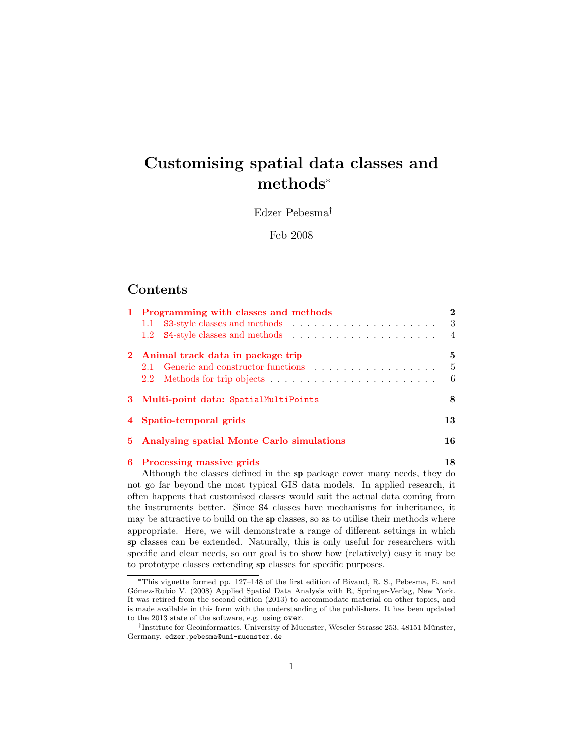# Customising spatial data classes and methods\*

Edzer Pebesma

Feb 2008

## **Contents**

|  | 1 Programming with classes and methods      |     |  |  |  |  |
|--|---------------------------------------------|-----|--|--|--|--|
|  |                                             | - 3 |  |  |  |  |
|  |                                             |     |  |  |  |  |
|  | 2 Animal track data in package trip         |     |  |  |  |  |
|  |                                             | -5  |  |  |  |  |
|  |                                             | - 6 |  |  |  |  |
|  | 3 Multi-point data: SpatialMultiPoints      |     |  |  |  |  |
|  | 4 Spatio-temporal grids                     |     |  |  |  |  |
|  | 5 Analysing spatial Monte Carlo simulations |     |  |  |  |  |
|  | 6 Processing massive grids                  |     |  |  |  |  |

Although the classes defined in the sp package cover many needs, they do not go far beyond the most typical GIS data models. In applied research, it often happens that customised classes would suit the actual data coming from the instruments better. Since S4 classes have mechanisms for inheritance, it may be attractive to build on the sp classes, so as to utilise their methods where appropriate. Here, we will demonstrate a range of different settings in which sp classes can be extended. Naturally, this is only useful for researchers with specific and clear needs, so our goal is to show how (relatively) easy it may be to prototype classes extending sp classes for specific purposes.

<sup>\*</sup>This vignette formed pp. 127–148 of the first edition of Bivand, R. S., Pebesma, E. and Gómez-Rubio V. (2008) Applied Spatial Data Analysis with R, Springer-Verlag, New York. It was retired from the second edition (2013) to accommodate material on other topics, and is made available in this form with the understanding of the publishers. It has been updated to the 2013 state of the software, e.g. using over.

<sup>&</sup>lt;sup>†</sup>Institute for Geoinformatics, University of Muenster, Weseler Strasse 253, 48151 Münster, Germany. edzer.pebesma@uni-muenster.de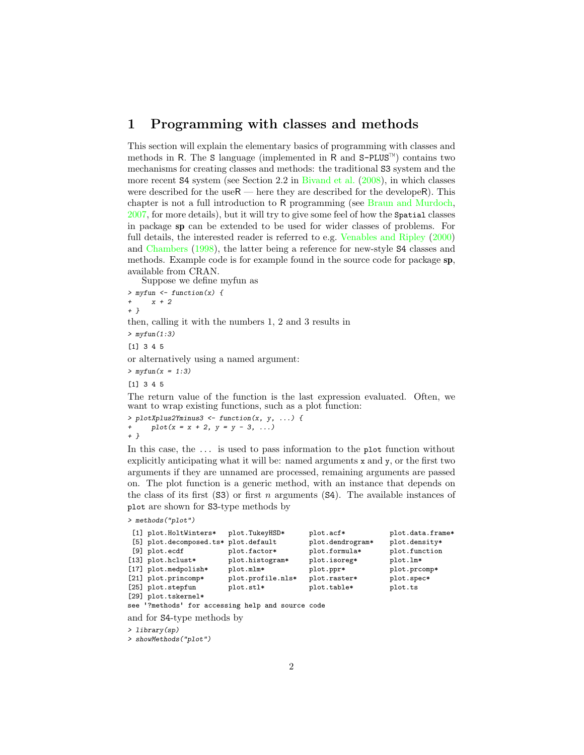## <span id="page-1-0"></span>1 Programming with classes and methods

This section will explain the elementary basics of programming with classes and methods in R. The S language (implemented in R and  $S-PLUS^{\mathbb{M}}$ ) contains two mechanisms for creating classes and methods: the traditional S3 system and the more recent S4 system (see Section 2.2 in [Bivand et al.](#page-19-0) [\(2008\)](#page-19-0), in which classes were described for the use $R$  — here they are described for the develope R). This chapter is not a full introduction to R programming (see [Braun and Murdoch,](#page-19-1) [2007,](#page-19-1) for more details), but it will try to give some feel of how the Spatial classes in package sp can be extended to be used for wider classes of problems. For full details, the interested reader is referred to e.g. [Venables and Ripley](#page-19-2) [\(2000\)](#page-19-2) and [Chambers](#page-19-3) [\(1998\)](#page-19-3), the latter being a reference for new-style S4 classes and methods. Example code is for example found in the source code for package sp, available from CRAN.

Suppose we define myfun as

 $>$  myfun  $\leftarrow$  function(x) {  $x + 2$ + } then, calling it with the numbers 1, 2 and 3 results in  $>$  myfun $(1:3)$ [1] 3 4 5 or alternatively using a named argument:  $> myfun(x = 1:3)$ [1] 3 4 5 The return value of the function is the last expression evaluated. Often, we want to wrap existing functions, such as a plot function: > plotXplus2Yminus3 <- function(x, y, ...) {

 $plot(x = x + 2, y = y - 3, ...)$ + }

In this case, the ... is used to pass information to the plot function without explicitly anticipating what it will be: named arguments x and y, or the first two arguments if they are unnamed are processed, remaining arguments are passed on. The plot function is a generic method, with an instance that depends on the class of its first  $(S3)$  or first n arguments  $(S4)$ . The available instances of plot are shown for S3-type methods by

```
> methods("plot")
```

| [1] plot.HoltWinters*                | plot.TukeyHSD*    | plot.acf*        | plot.data.frame* |
|--------------------------------------|-------------------|------------------|------------------|
| [5] plot.decomposed.ts* plot.default |                   | plot.dendrogram* | plot.density*    |
| $[9]$ $plot.$ ecdf                   | plot.factor*      | plot.formula*    | plot.function    |
| $[13]$ plot.hclust*                  | plot.histogram*   | plot.isoreg*     | plot.lm*         |
| [17] plot.medpolish*                 | plot.mlm*         | plot.ppr*        | plot.prcomp*     |
| [21] plot.princomp*                  | plot.profile.nls* | plot.raster*     | plot.spec*       |
| [25] plot.stepfun                    | plot.stl*         | plot.table*      | plot.ts          |
| [29] plot.tskernel*                  |                   |                  |                  |

see '?methods' for accessing help and source code

```
and for S4-type methods by
```
> library(sp)

> showMethods("plot")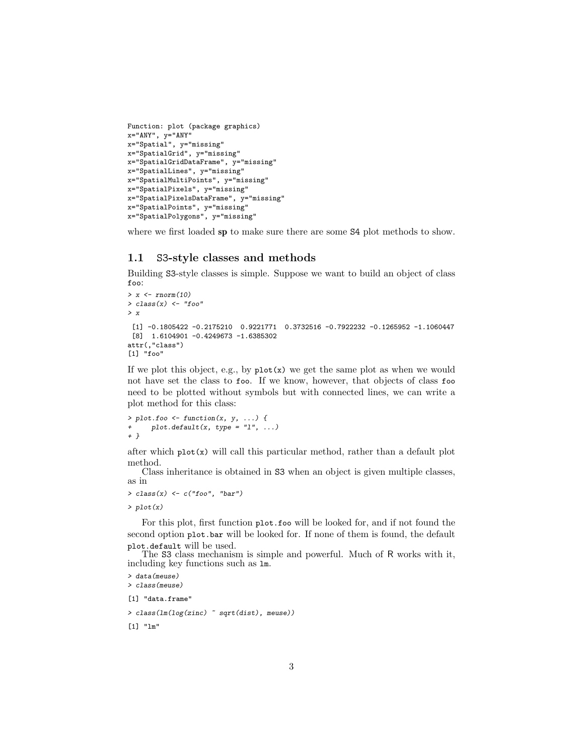```
Function: plot (package graphics)
x=""ANY", y=""ANY"
x="Spatial", y="missing"
x="SpatialGrid", y="missing"
x="SpatialGridDataFrame", y="missing"
x="SpatialLines", y="missing"
x="SpatialMultiPoints", y="missing"
x="SpatialPixels", y="missing"
x="SpatialPixelsDataFrame", y="missing"
x="SpatialPoints", y="missing"
x="SpatialPolygons", y="missing"
```
where we first loaded sp to make sure there are some S4 plot methods to show.

#### <span id="page-2-0"></span>1.1 S3-style classes and methods

Building S3-style classes is simple. Suppose we want to build an object of class foo:

```
> x < -rnorm(10)> class(x) \leftarrow "foo"
> x
 [1] -0.1805422 -0.2175210 0.9221771 0.3732516 -0.7922232 -0.1265952 -1.1060447
 [8] 1.6104901 -0.4249673 -1.6385302
attr(,"class")
[1] "foo"
```
If we plot this object, e.g., by  $plot(x)$  we get the same plot as when we would not have set the class to foo. If we know, however, that objects of class foo need to be plotted without symbols but with connected lines, we can write a plot method for this class:

```
> plot. foo \leftarrow function(x, y, ...)plot.default(x, type = "l", ...)+ }
```
after which  $plot(x)$  will call this particular method, rather than a default plot method.

Class inheritance is obtained in S3 when an object is given multiple classes, as in

```
> class(x) \leftarrow c("foo", "bar")
```
> plot(x)

For this plot, first function plot.foo will be looked for, and if not found the second option plot.bar will be looked for. If none of them is found, the default plot.default will be used.

The S3 class mechanism is simple and powerful. Much of R works with it, including key functions such as lm.

```
> data(meuse)
> class(meuse)
```
[1] "data.frame"

> class(lm(log(zinc) ~ sqrt(dist), meuse))

[1] "lm"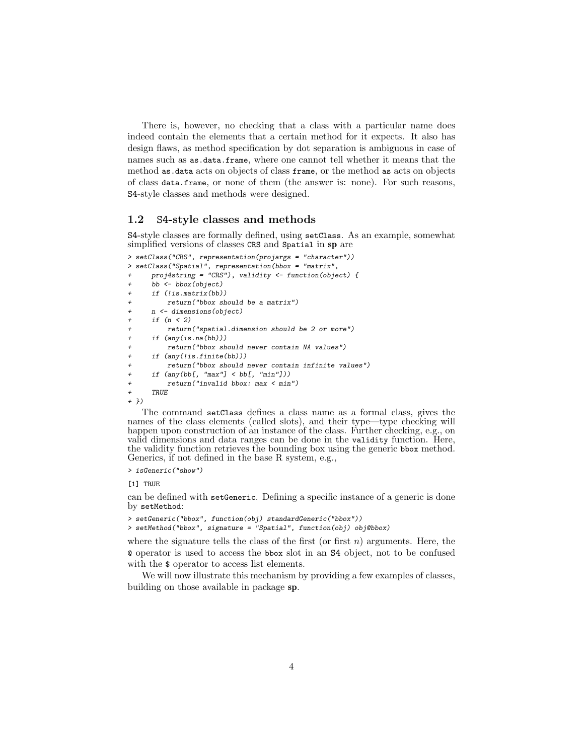There is, however, no checking that a class with a particular name does indeed contain the elements that a certain method for it expects. It also has design flaws, as method specification by dot separation is ambiguous in case of names such as as.data.frame, where one cannot tell whether it means that the method as.data acts on objects of class frame, or the method as acts on objects of class data.frame, or none of them (the answer is: none). For such reasons, S4-style classes and methods were designed.

#### <span id="page-3-0"></span>1.2 S4-style classes and methods

S4-style classes are formally defined, using setClass. As an example, somewhat simplified versions of classes CRS and Spatial in sp are

```
> setClass("CRS", representation(projargs = "character"))
> setClass("Spatial", representation(bbox = "matrix",
+ proj4string = "CRS"), validity <- function(object) {
      bb <- bbox(object)
      if (lis_matrix(bb))return("bbox should be a matrix")+ n <- dimensions(object)
     if (n < 2)return("spatial.dimension should be 2 or more")
+ if (any(is.na(bb)))
         return("bbox should never contain NA values")
      if (\text{any}(!is.findte(bb)))return("bbox should never contain infinite values")
      if (any(bb[, "max"] < bb[, "min"]))
         + return("invalid bbox: max < min")
      + TRUE
+ })
```
The command setClass defines a class name as a formal class, gives the names of the class elements (called slots), and their type—type checking will happen upon construction of an instance of the class. Further checking, e.g., on valid dimensions and data ranges can be done in the validity function. Here, the validity function retrieves the bounding box using the generic bbox method. Generics, if not defined in the base R system, e.g.,

> isGeneric("show")

[1] TRUE

can be defined with setGeneric. Defining a specific instance of a generic is done by setMethod:

```
> setGeneric("bbox", function(obj) standardGeneric("bbox"))
> setMethod("bbox", signature = "Spatial", function(obj) obj@bbox)
```
where the signature tells the class of the first (or first  $n$ ) arguments. Here, the @ operator is used to access the bbox slot in an S4 object, not to be confused with the  $\frac{1}{2}$  operator to access list elements.

We will now illustrate this mechanism by providing a few examples of classes, building on those available in package sp.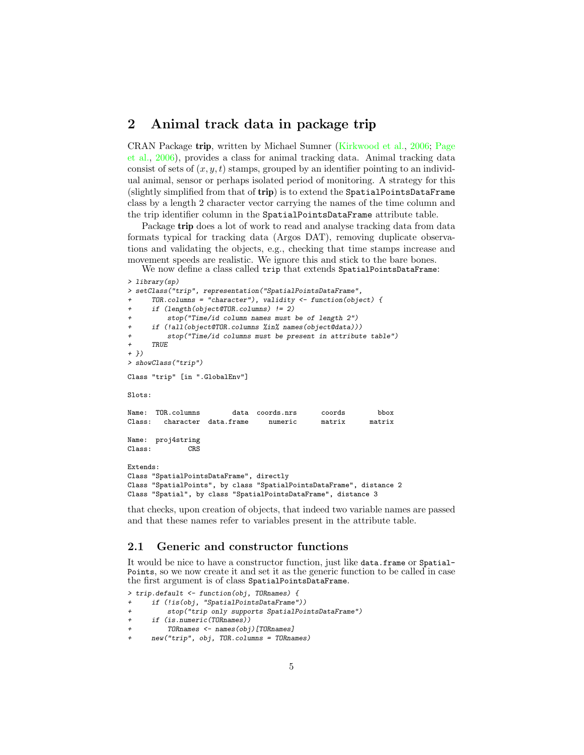### <span id="page-4-0"></span>2 Animal track data in package trip

CRAN Package trip, written by Michael Sumner [\(Kirkwood et al.,](#page-19-4) [2006;](#page-19-4) [Page](#page-19-5) [et al.,](#page-19-5) [2006\)](#page-19-5), provides a class for animal tracking data. Animal tracking data consist of sets of  $(x, y, t)$  stamps, grouped by an identifier pointing to an individual animal, sensor or perhaps isolated period of monitoring. A strategy for this (slightly simplified from that of trip) is to extend the SpatialPointsDataFrame class by a length 2 character vector carrying the names of the time column and the trip identifier column in the SpatialPointsDataFrame attribute table.

Package trip does a lot of work to read and analyse tracking data from data formats typical for tracking data (Argos DAT), removing duplicate observations and validating the objects, e.g., checking that time stamps increase and movement speeds are realistic. We ignore this and stick to the bare bones.

We now define a class called trip that extends SpatialPointsDataFrame: > library(sp)

```
> setClass("trip", representation("SpatialPointsDataFrame",
     TOR.column = "character"), validity < - function(object) { }+ if (length(object@TOR.columns) != 2)
         stop("Time/id column names must be of length <math>2")</math>if (!all(object@TOR.columns %in% names(object@data)))
         stop("Time/id columns must be present in attribute table")
     TRUE
+ })
> showClass("trip")
Class "trip" [in ".GlobalEnv"]
Slots:
Name: TOR.columns data coords.nrs coords bbox
Class: character data.frame numeric matrix matrix
Name: proj4string
Class: CRS
Extends:
Class "SpatialPointsDataFrame", directly
Class "SpatialPoints", by class "SpatialPointsDataFrame", distance 2
Class "Spatial", by class "SpatialPointsDataFrame", distance 3
```
that checks, upon creation of objects, that indeed two variable names are passed and that these names refer to variables present in the attribute table.

#### <span id="page-4-1"></span>2.1 Generic and constructor functions

It would be nice to have a constructor function, just like data.frame or Spatial-Points, so we now create it and set it as the generic function to be called in case the first argument is of class SpatialPointsDataFrame.

```
> trip.default <- function(obj, TORnames) {
     if (!is(obj, "SpatialPointsDataFrame"))
         stop("trip only supports SpatialPointsDataFrame")
+ if (is.numeric(TORnames))
+ TORnames <- names(obj)[TORnames]
     + new("trip", obj, TOR.columns = TORnames)
```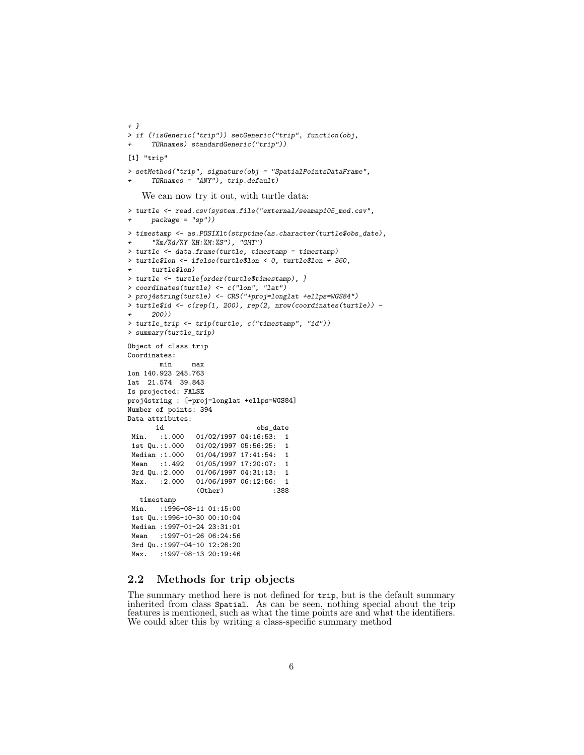```
+ }
> if (!isGeneric("trip")) setGeneric("trip", function(obj,
     + TORnames) standardGeneric("trip"))
[1] "trip"
> setMethod("trip", signature(obj = "SpatialPointsDataFrame",
      TORnames = "ANY"), trip.default)We can now try it out, with turtle data:
> turtle <- read.csv(system.file("external/seamap105_mod.csv",
     package = "sp"))
> timestamp <- as.POSIXlt(strptime(as.character(turtle$obs_date),
     + "%m/%d/%Y %H:%M:%S"), "GMT")
> turtle <- data.frame(turtle, timestamp = timestamp)
> turtle$lon <- ifelse(turtle$lon < 0, turtle$lon + 360,
     turtle$lon)
> turtle <- turtle[order(turtle$timestamp), ]
> coordinates(turtle) \leq c("lon", "lat")
> proj4string(turtle) <- CRS("+proj=longlat +ellps=WGS84")
> turtle$id <- c(rep(1, 200), rep(2, nrow(coordinates(turtle)) -
     + 200))
> turtle_trip <- trip(turtle, c("timestamp", "id"))
> summary(turtle_trip)
Object of class trip
Coordinates:
       min max
lon 140.923 245.763
lat 21.574 39.843
Is projected: FALSE
proj4string : [+proj=longlat +ellps=WGS84]
Number of points: 394
Data attributes:
       id obs_date
 Min. :1.000 01/02/1997 04:16:53: 1
1st Qu.:1.000 01/02/1997 05:56:25: 1
Median :1.000 01/04/1997 17:41:54: 1
Mean :1.492 01/05/1997 17:20:07: 1
3rd Qu.:2.000 01/06/1997 04:31:13: 1
Max. : 2.000 01/06/1997 06:12:56: 1
                (Other) :388
  timestamp
Min. : 1996-08-11 01:15:00
 1st Qu.:1996-10-30 00:10:04
Median :1997-01-24 23:31:01
Mean : 1997-01-26 06:24:56
3rd Qu.:1997-04-10 12:26:20
Max. : 1997-08-13 20:19:46
```
#### <span id="page-5-0"></span>2.2 Methods for trip objects

The summary method here is not defined for trip, but is the default summary inherited from class Spatial. As can be seen, nothing special about the trip features is mentioned, such as what the time points are and what the identifiers. We could alter this by writing a class-specific summary method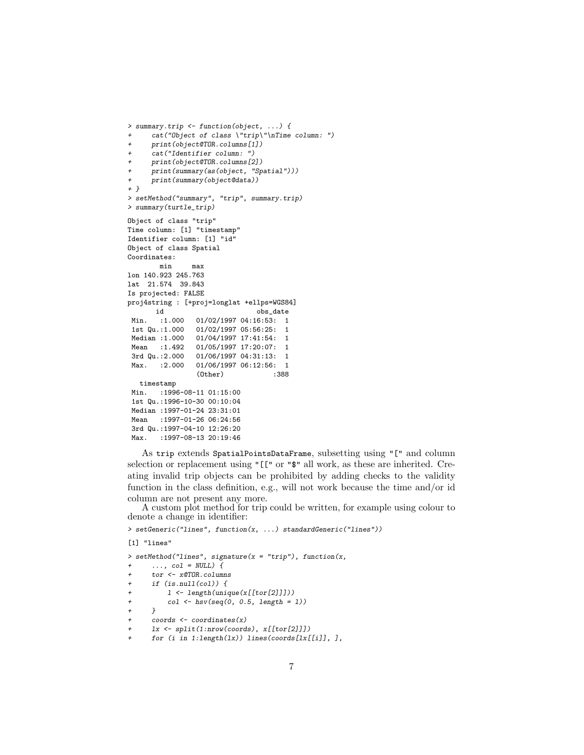```
> summary.trip <- function(object, ...) {
+ cat("Object of class \"trip\"\nTime column: ")
     print(object@TOR.columns[1])
     cat("Identifier column: ")
+ print(object@TOR.columns[2])
+ print(summary(as(object, "Spatial")))
+ print(summary(object@data))
+ }
> setMethod("summary", "trip", summary.trip)
> summary(turtle_trip)
Object of class "trip"
Time column: [1] "timestamp"
Identifier column: [1] "id"
Object of class Spatial
Coordinates:
       min max
lon 140.923 245.763
lat 21.574 39.843
Is projected: FALSE
proj4string : [+proj=longlat +ellps=WGS84]
      id obs_date
Min. :1.000 01/02/1997 04:16:53: 1
1st Qu.:1.000 01/02/1997 05:56:25: 1
Median :1.000 01/04/1997 17:41:54: 1<br>Mean :1.492 01/05/1997 17:20:07: 1
                01/05/1997 17:20:07: 1
3rd Qu.:2.000 01/06/1997 04:31:13: 1
Max. : 2.000 01/06/1997 06:12:56: 1
                (Other) :388
  timestamp
Min. :1996-08-11 01:15:00
1st Qu.:1996-10-30 00:10:04
Median :1997-01-24 23:31:01
Mean : 1997-01-26 06:24:56
3rd Qu.:1997-04-10 12:26:20
Max. : 1997-08-13 20:19:46
```
As trip extends SpatialPointsDataFrame, subsetting using "[" and column selection or replacement using "[[" or "\$" all work, as these are inherited. Creating invalid trip objects can be prohibited by adding checks to the validity function in the class definition, e.g., will not work because the time and/or id column are not present any more.

A custom plot method for trip could be written, for example using colour to denote a change in identifier:

 $>$   $\mathtt{setGenerator}("lines",$   $\mathtt{function}(x,$   $\ldots)$   $\mathtt{standardGenerator}("lines"))$ 

[1] "lines"

> setMethod("lines", signature(x = "trip"), function(x,  $\ldots$ , col = NULL) { + tor <- x@TOR.columns  $if (is.null(col))$  { + l <- length(unique(x[[tor[2]]]))  $col \leftarrow \text{hsv}(\text{seq}(0, 0.5, \text{ length = } 1))$ +  $\frac{1}{2}$  $coords \leftarrow coordinates(x)$ + lx <- split(1:nrow(coords), x[[tor[2]]]) for (i in  $1:$  length $(lx)$ ) lines(coords[lx[[i]], ],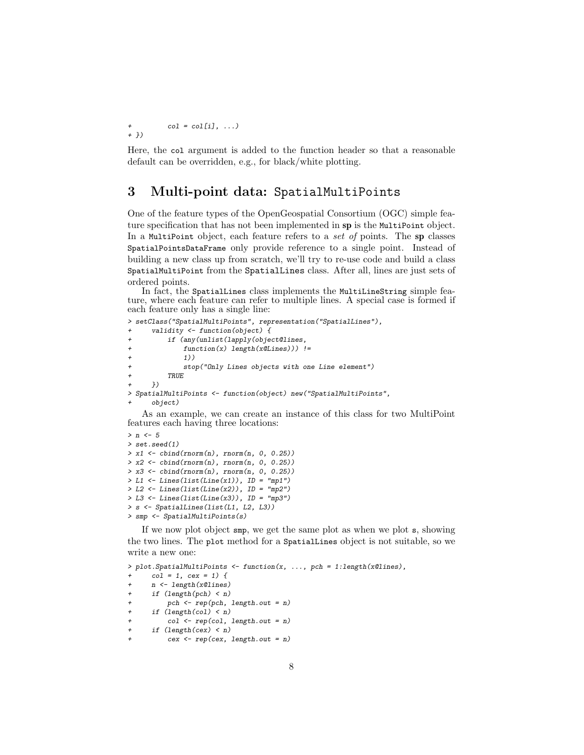+  $col = col[i], ...$ + })

Here, the col argument is added to the function header so that a reasonable default can be overridden, e.g., for black/white plotting.

# <span id="page-7-0"></span>3 Multi-point data: SpatialMultiPoints

One of the feature types of the OpenGeospatial Consortium (OGC) simple feature specification that has not been implemented in sp is the MultiPoint object. In a MultiPoint object, each feature refers to a set of points. The sp classes SpatialPointsDataFrame only provide reference to a single point. Instead of building a new class up from scratch, we'll try to re-use code and build a class SpatialMultiPoint from the SpatialLines class. After all, lines are just sets of ordered points.

In fact, the SpatialLines class implements the MultiLineString simple feature, where each feature can refer to multiple lines. A special case is formed if each feature only has a single line:

```
> setClass("SpatialMultiPoints", representation("SpatialLines"),
       validity \leftarrow function(object) {
            if (\text{any}(\text{unlist}(\text{lapping}(\text{object} \text{0} \text{lines}),+ function(x) length(x@Lines))) !=
                + 1))
                stop("Only Lines objects with one Line element")
            TRUE<sub></sub>
       )> SpatialMultiPoints <- function(object) new("SpatialMultiPoints",
       object)
```
As an example, we can create an instance of this class for two MultiPoint features each having three locations:

```
> n < -5> set.seed(1)
> x1 \leftarrow \text{cbind}(rnorm(n), rnorm(n, 0, 0.25))> x2 < - \text{cbind}(rnorm(n), rnorm(n, 0, 0.25))> x3 \leftarrow \text{cbind}(rnorm(n), rnorm(n, 0, 0.25))> L1 <- Lines(list(Line(x1)), ID = "mp1")
> L2 \leftarrow Lines(list(Line(x2)), ID = "mp2")> L3 <- Lines(list(Line(x3)), ID = "mp3")
> s <- SpatialLines(list(L1, L2, L3))
> smp <- SpatialMultiPoints(s)
```
If we now plot object smp, we get the same plot as when we plot s, showing the two lines. The plot method for a SpatialLines object is not suitable, so we write a new one:

```
> plot.SpatialMultiPoints <- function(x, ..., pch = 1:length(x@lines),
      col = 1, cex = 1) {
+ n <- length(x@lines)
+ if (length(pch) < n)
+ pch <- rep(pch, length.out = n)
      if (length(col) < n)+ col <- rep(col, length.out = n)<br>+ if (length(cex) < n)
      if (length(cex) < n)
          cex < - rep(cex, length.out = n)
```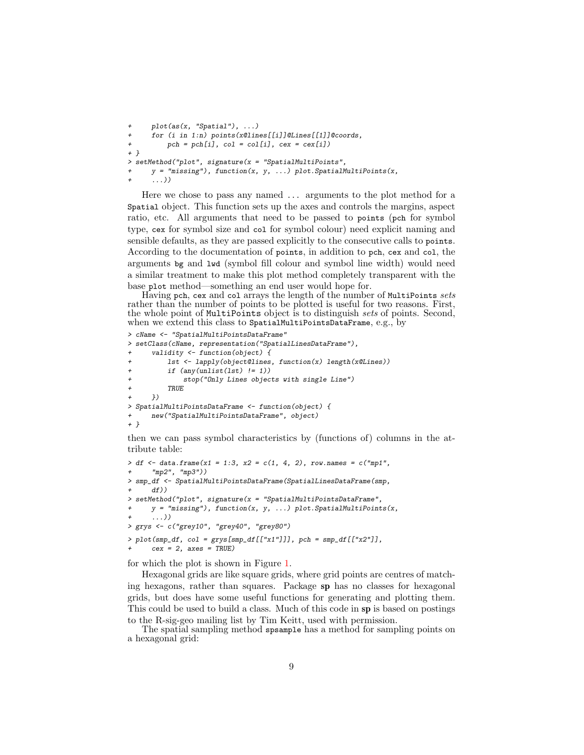```
+ plot(as(x, "Spatial"), ...)
+ for (i in 1:n) points(x@lines[[i]]@Lines[[1]]@coords,
+ pch = pch[i], col = col[i], cex = cex[i])+ }
> setMethod("plot", signature(x = "SpatialMultiPoints",
     y = "missing"), function(x, y, ...) plot.SpatialMultiPoints(x,
      + ...))
```
Here we chose to pass any named ... arguments to the plot method for a Spatial object. This function sets up the axes and controls the margins, aspect ratio, etc. All arguments that need to be passed to points (pch for symbol type, cex for symbol size and col for symbol colour) need explicit naming and sensible defaults, as they are passed explicitly to the consecutive calls to points. According to the documentation of points, in addition to pch, cex and col, the arguments bg and lwd (symbol fill colour and symbol line width) would need a similar treatment to make this plot method completely transparent with the base plot method—something an end user would hope for.

Having pch, cex and col arrays the length of the number of MultiPoints sets rather than the number of points to be plotted is useful for two reasons. First, the whole point of MultiPoints object is to distinguish sets of points. Second, when we extend this class to SpatialMultiPointsDataFrame, e.g., by

```
> cName <- "SpatialMultiPointsDataFrame"
> setClass(cName, representation("SpatialLinesDataFrame"),
      validity \leftarrow function(object) {
          1st <- lapply(object@lines, function(x) length(x@Lines))
          if (any(unlist(lst) != 1))
              stop("Only Lines objects with single Line")
+ TRUE
      + })
> SpatialMultiPointsDataFrame <- function(object) {
+ new("SpatialMultiPointsDataFrame", object)
+ }
```
then we can pass symbol characteristics by (functions of) columns in the attribute table:

```
> df <- data.frame(x1 = 1:3, x2 = c(1, 4, 2), row.names = c("mp1",
      "mp2", "mp3"))
> smp_df <- SpatialMultiPointsDataFrame(SpatialLinesDataFrame(smp,
+ df))
> setMethod("plot", signature(x = "SpatialMultiPointsDataFrame",
      y = "missing"), function(x, y, ...) plot.SpatialMultiPoints(x,
      + ...))
> grys <- c("grey10", "grey40", "grey80")
> plot(smp_df, col = grys[smp_df[["x1"]]], pch = smp_df[["x2"]],
      cex = 2, axes = TRUE)
```
for which the plot is shown in Figure [1.](#page-9-0)

Hexagonal grids are like square grids, where grid points are centres of matching hexagons, rather than squares. Package sp has no classes for hexagonal grids, but does have some useful functions for generating and plotting them. This could be used to build a class. Much of this code in sp is based on postings to the R-sig-geo mailing list by Tim Keitt, used with permission.

The spatial sampling method spsample has a method for sampling points on a hexagonal grid: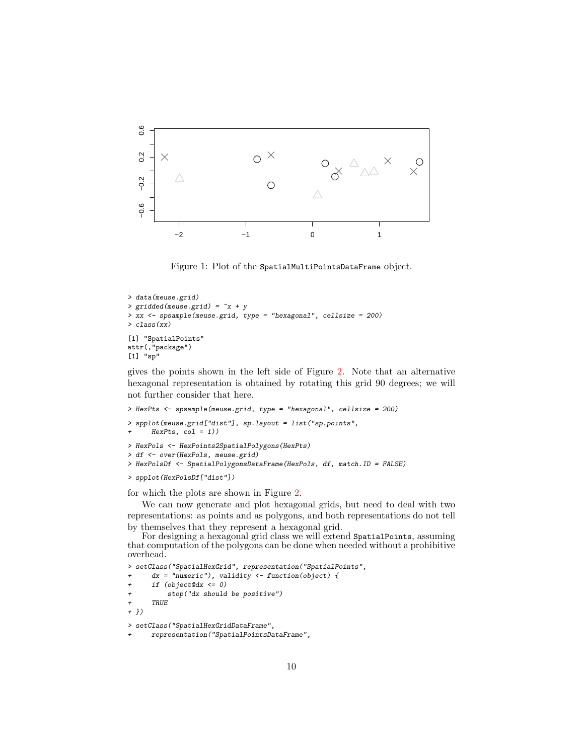

<span id="page-9-0"></span>Figure 1: Plot of the SpatialMultiPointsDataFrame object.

```
> data(meuse.grid)
> gridded(meuse.grid) = x + y> xx <- spsample(meuse.grid, type = "hexagonal", cellsize = 200)
> class(xx)
[1] "SpatialPoints"
attr(,"package")
[1] "sp"
```
gives the points shown in the left side of Figure [2.](#page-10-0) Note that an alternative hexagonal representation is obtained by rotating this grid 90 degrees; we will not further consider that here.

```
> HexPts <- spsample(meuse.grid, type = "hexagonal", cellsize = 200)
> spplot(meuse.grid["dist"], sp.layout = list("sp.points",
      HexPts, col = 1))
> HexPols <- HexPoints2SpatialPolygons(HexPts)
> df <- over(HexPols, meuse.grid)
> HexPolsDf <- SpatialPolygonsDataFrame(HexPols, df, match.ID = FALSE)
```

```
> spplot(HexPolsDf["dist"])
```
for which the plots are shown in Figure [2.](#page-10-0)

We can now generate and plot hexagonal grids, but need to deal with two representations: as points and as polygons, and both representations do not tell by themselves that they represent a hexagonal grid.

For designing a hexagonal grid class we will extend SpatialPoints, assuming that computation of the polygons can be done when needed without a prohibitive overhead.

> setClass("SpatialHexGrid", representation("SpatialPoints",

 $dx = "numeric")$ , validity  $\leftarrow$  function(object) {

```
if (object@dx \le 0)
```
+ stop("dx should be positive")

+ TRUE + })

> setClass("SpatialHexGridDataFrame",

```
+ representation("SpatialPointsDataFrame",
```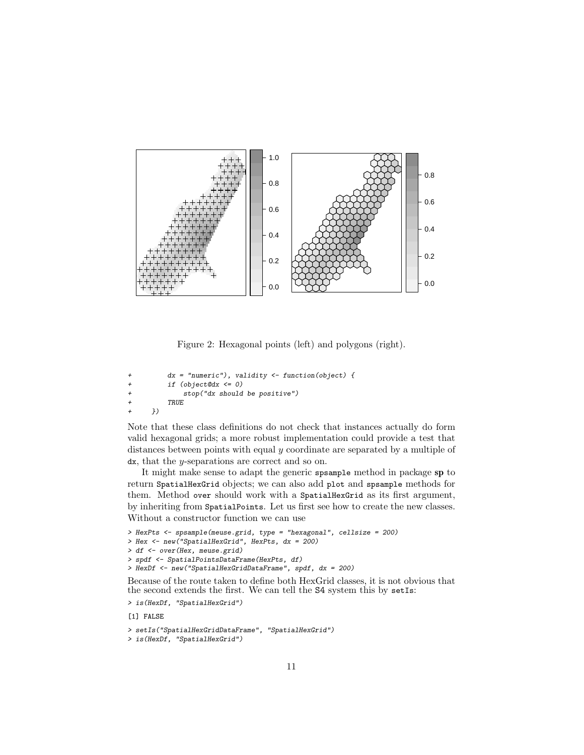

<span id="page-10-0"></span>Figure 2: Hexagonal points (left) and polygons (right).

```
dx = "numeric"), validity \leftarrow function(object) {
+ if (object@dx <= 0)
+ stop("dx should be positive")
         + TRUE
+ })
```
Note that these class definitions do not check that instances actually do form valid hexagonal grids; a more robust implementation could provide a test that distances between points with equal y coordinate are separated by a multiple of dx, that the y-separations are correct and so on.

It might make sense to adapt the generic spsample method in package sp to return SpatialHexGrid objects; we can also add plot and spsample methods for them. Method over should work with a SpatialHexGrid as its first argument, by inheriting from SpatialPoints. Let us first see how to create the new classes. Without a constructor function we can use

```
> HexPts <- spsample(meuse.grid, type = "hexagonal", cellsize = 200)
> Hex <- new("SpatialHexGrid", HexPts, dx = 200)
> df <- over(Hex, meuse.grid)
> spdf <- SpatialPointsDataFrame(HexPts, df)
> HexDf <- new("SpatialHexGridDataFrame", spdf, dx = 200)
Because of the route taken to define both HexGrid classes, it is not obvious that
the second extends the first. We can tell the S4 system this by setIs:
> is(HexDf, "SpatialHexGrid")
```
[1] FALSE

```
> setIs("SpatialHexGridDataFrame", "SpatialHexGrid")
```

```
> is(HexDf, "SpatialHexGrid")
```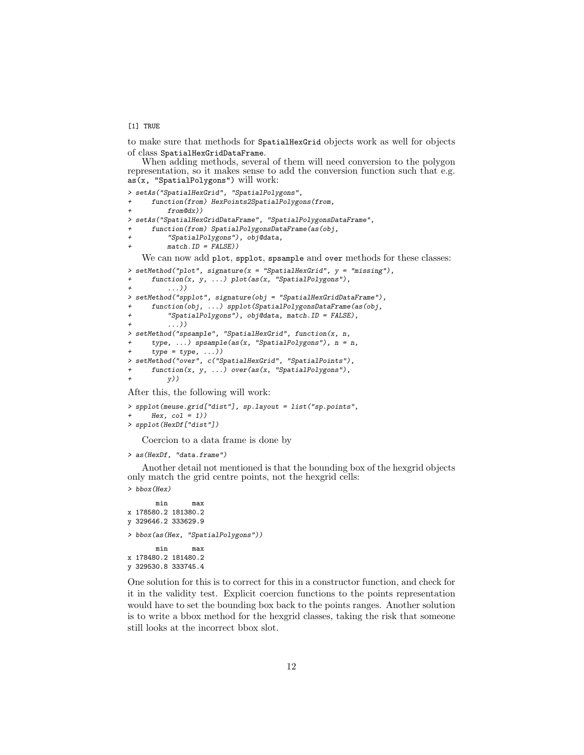[1] TRUE

to make sure that methods for SpatialHexGrid objects work as well for objects of class SpatialHexGridDataFrame.

When adding methods, several of them will need conversion to the polygon representation, so it makes sense to add the conversion function such that e.g. as(x, "SpatialPolygons") will work:

```
> setAs("SpatialHexGrid", "SpatialPolygons",
     function(from) HexPoints2SpatialPolygons(from,
+ from@dx))
> setAs("SpatialHexGridDataFrame", "SpatialPolygonsDataFrame",
     function(from) SpatialPolygonsDataFrame(as(obj,
+ "SpatialPolygons"), obj@data,
+ match.ID = FALSE))
   We can now add plot, spplot, spsample and over methods for these classes:
> setMethod("plot", signature(x = "SpatialHexGrid", y = "missing"),
+ function(x, y, ...) plot(as(x, "SpatialPolygons"),
+ ...))
> setMethod("spplot", signature(obj = "SpatialHexGridDataFrame"),
+ function(obj, ...) spplot(SpatialPolygonsDataFrame(as(obj,
          "SpatialPolygons"), obj@data, match.ID = FALSE),
          \ldots))
> setMethod("spsample", "SpatialHexGrid", function(x, n,
     type, \ldots) spsample(as(x, "SpatialPolygons"), n = n,
     type = type, \ldots))
> setMethod("over", c("SpatialHexGrid", "SpatialPoints"),
     function(x, y, ...) over(as(x, "SpatialPolygons"),y))
```
After this, the following will work:

```
> spplot(meuse.grid["dist"], sp.layout = list("sp.points",
      Hex, col = 1))
> spplot(HexDf["dist"])
```
Coercion to a data frame is done by

```
> as(HexDf, "data.frame")
```
Another detail not mentioned is that the bounding box of the hexgrid objects only match the grid centre points, not the hexgrid cells:

> bbox(Hex)

```
min max
x 178580.2 181380.2
y 329646.2 333629.9
> bbox(as(Hex, "SpatialPolygons"))
      min max
x 178480.2 181480.2
y 329530.8 333745.4
```
One solution for this is to correct for this in a constructor function, and check for it in the validity test. Explicit coercion functions to the points representation would have to set the bounding box back to the points ranges. Another solution is to write a bbox method for the hexgrid classes, taking the risk that someone still looks at the incorrect bbox slot.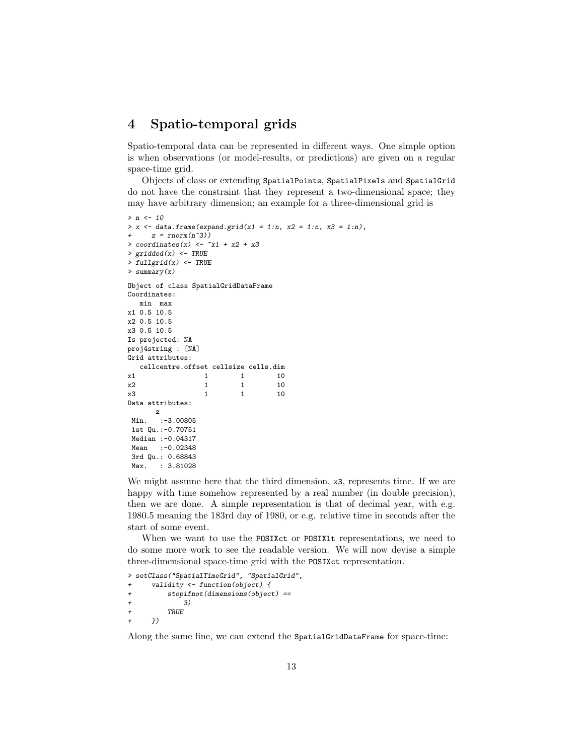## <span id="page-12-0"></span>4 Spatio-temporal grids

Spatio-temporal data can be represented in different ways. One simple option is when observations (or model-results, or predictions) are given on a regular space-time grid.

Objects of class or extending SpatialPoints, SpatialPixels and SpatialGrid do not have the constraint that they represent a two-dimensional space; they may have arbitrary dimension; an example for a three-dimensional grid is

```
> n < -10> x \leftarrow data.frame(expand.grid(x1 = 1:n, x2 = 1:n, x3 = 1:n),
     z = rnorm(n^3)> coordinates(x) <- x_1 + x_2 + x_3> gridded(x) <- TRUE
> fullgrid(x) <- TRUE
> summary(x)
Object of class SpatialGridDataFrame
Coordinates:
  min max
x1 0.5 10.5
x2 0.5 10.5
x3 0.5 10.5
Is projected: NA
proj4string : [NA]
Grid attributes:
  cellcentre.offset cellsize cells.dim
x1 1 1 10
x2 1 1 10
x3 1 1 10
Data attributes:
     z
Min. :-3.00805
1st Qu.:-0.70751
Median :-0.04317
Mean :- 0.02348
3rd Qu.: 0.68843
Max. : 3.81028
```
We might assume here that the third dimension, x3, represents time. If we are happy with time somehow represented by a real number (in double precision), then we are done. A simple representation is that of decimal year, with e.g. 1980.5 meaning the 183rd day of 1980, or e.g. relative time in seconds after the start of some event.

When we want to use the POSIXct or POSIX<sub>1</sub> representations, we need to do some more work to see the readable version. We will now devise a simple three-dimensional space-time grid with the POSIXct representation.

```
> setClass("SpatialTimeGrid", "SpatialGrid",
+ validity <- function(object) {
+ stopifnot(dimensions(object) ==
+ 3)
        + TRUE
     + })
```
Along the same line, we can extend the SpatialGridDataFrame for space-time: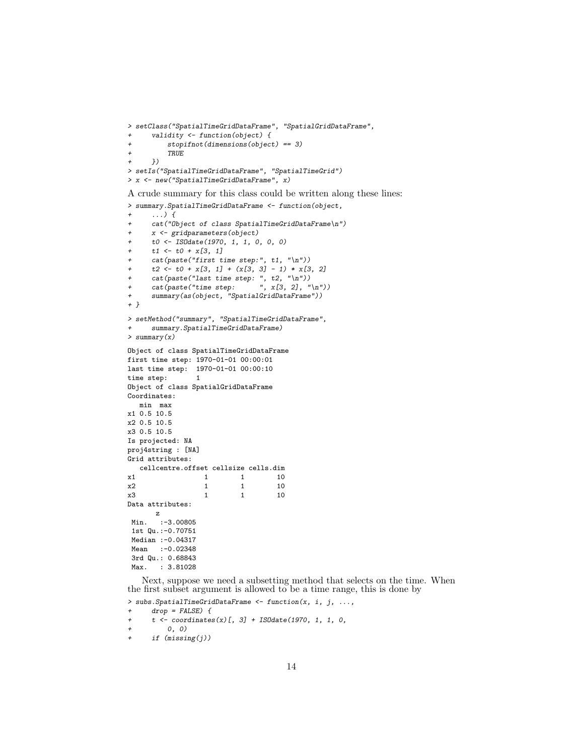```
> setClass("SpatialTimeGridDataFrame", "SpatialGridDataFrame",
      validity \leftarrow function(object) {
          stopifnot(dimensions(object) == 3)\it TRUE+ })
> setIs("SpatialTimeGridDataFrame", "SpatialTimeGrid")
> x <- new("SpatialTimeGridDataFrame", x)
```
A crude summary for this class could be written along these lines:

```
> summary.SpatialTimeGridDataFrame <- function(object,
     \ldots) {
     cat("Object of class SpatialTimeGridDataFrame\n")
+ x <- gridparameters(object)
+ t0 <- ISOdate(1970, 1, 1, 0, 0, 0)
+ t1 \leftarrow t0 + x[3, 1]+ cat(paste("first time step:", t1, "\n"))
     t2 \leftarrow t0 + x[3, 1] + (x[3, 3] - 1) * x[3, 2]+ cat(paste("last time step: ", t2, "\n"))<br>+ cat(paste("time step: ", \bar{x}[3, 2], "\n"))
     cat(paste("time step:+ summary(as(object, "SpatialGridDataFrame"))
+ }
> setMethod("summary", "SpatialTimeGridDataFrame",
+ summary.SpatialTimeGridDataFrame)
> summary(x)
Object of class SpatialTimeGridDataFrame
first time step: 1970-01-01 00:00:01
last time step: 1970-01-01 00:00:10
time step: 1
Object of class SpatialGridDataFrame
Coordinates:
  min max
x1 0.5 10.5
x2 0.5 10.5
x3 0.5 10.5
Is projected: NA
proj4string : [NA]
Grid attributes:
  cellcentre.offset cellsize cells.dim
x1 1 1 10
x2 1 1 10
x3 1 1 10
Data attributes:
      z
Min. :-3.00805
1st Qu.:-0.70751
Median :- 0.04317
Mean :- 0.02348
3rd Qu.: 0.68843
Max. : 3.81028
```
Next, suppose we need a subsetting method that selects on the time. When the first subset argument is allowed to be a time range, this is done by

```
> subs. SpatialTimeGridDataFrame <- function(x, i, j, ...,
+ drop = FALSE) {<br>+ t \leq - coordinatest < - coordinates(x)[, 3] + ISOdate(1970, 1, 1, 0,
+ 0, 0)
+ if (missing(j))
```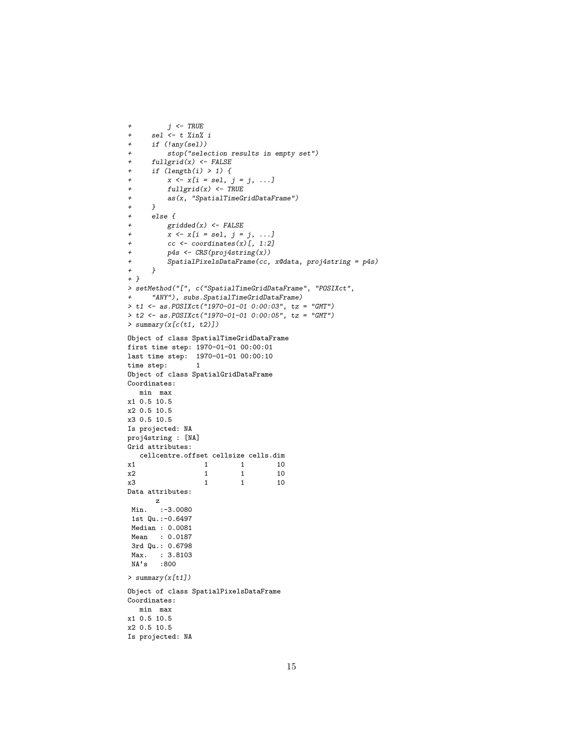```
+ j <- TRUE
+ sel <- t %in% i
+ if (!any(sel))
+ stop("selection results in empty set")
      fullgrid(x) \leftarrow FALSE+ if (\text{length}(i) > 1) {
+ x \le x[i = sel, j = j, ...]<br>+ fullgrid(x) \le TRUEfullgrid(x) \leftarrow \textit{TRUE}+ as(x, "SpatialTimeGridDataFrame")
\begin{matrix} + & & \} \\ + & & e \end{matrix}else {
+ \text{gridded}(x) \leftarrow \text{FALSE}<br>+ x \leftarrow x[i = \text{sel}] \quad i =x \leftarrow x[i = sel, j = j, ...]+ cc <- coordinates(x)[, 1:2]<br>+ p4s <- CRS(proj4string(x))
+ p4s <- CRS(proj4string(x))
          SpatialPixelsDataFrame(cc, x@data, proj4string = p4s)+ }
+ }
> setMethod("[", c("SpatialTimeGridDataFrame", "POSIXct",
       "ANY"), subs.SpatialTimeGridDataFrame)
> t1 <- as.POSIXct("1970-01-01 0:00:03", tz = "GMT")
> t2 <- as.POSIXct("1970-01-01 0:00:05", tz = "GMT")
> summary(x[c(t1, t2)])
Object of class SpatialTimeGridDataFrame
first time step: 1970-01-01 00:00:01
last time step: 1970-01-01 00:00:10
time step: 1
Object of class SpatialGridDataFrame
Coordinates:
   min max
x1 0.5 10.5
x2 0.5 10.5
x3 0.5 10.5
Is projected: NA
proj4string : [NA]
Grid attributes:
   cellcentre.offset cellsize cells.dim
\begin{array}{ccccccccc}\nx1 & & & & 1 & & & 1 & & 10 \\
x2 & & & & 1 & & 1 & & 10\n\end{array}x2 1 1 10
x3 1 1 10
Data attributes:
      z
Min. :-3.0080
1st Qu.:-0.6497
Median : 0.0081
Mean : 0.0187
3rd Qu.: 0.6798
 Max. : 3.8103
 NA's :800
> summary(x[t1])
Object of class SpatialPixelsDataFrame
Coordinates:
   min max
x1 0.5 10.5
x2 0.5 10.5
Is projected: NA
```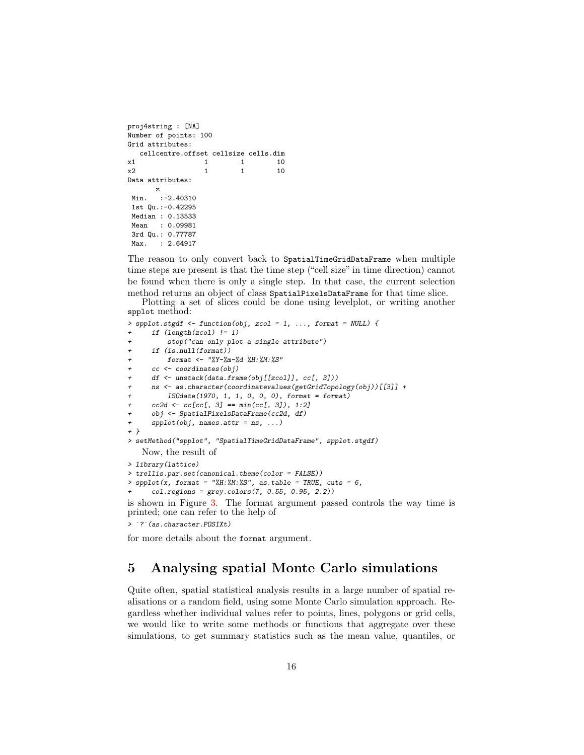```
proj4string : [NA]
Number of points: 100
Grid attributes:
  cellcentre.offset cellsize cells.dim
x1 1 1 10
x2 1 1 10
Data attributes:
     z
Min. :-2.40310
1st Qu.:-0.42295
Median : 0.13533
Mean : 0.09981
3rd Qu.: 0.77787
Max. : 2.64917
```
The reason to only convert back to SpatialTimeGridDataFrame when multiple time steps are present is that the time step ("cell size" in time direction) cannot be found when there is only a single step. In that case, the current selection method returns an object of class SpatialPixelsDataFrame for that time slice.

Plotting a set of slices could be done using levelplot, or writing another spplot method:

```
> spplot.stgdf <- function(obj, zcol = 1, ..., format = NULL) {
      if (length(zcol) != 1)+ stop("can only plot a single attribute")
+ if (is.null(format))
          format <- "%Y-%m-%d %H:%M:%S"
+ cc <- coordinates(obj)
      + df <- unstack(data.frame(obj[[zcol]], cc[, 3]))
      + ns <- as.character(coordinatevalues(getGridTopology(obj))[[3]] +
          IS0date(1970, 1, 1, 0, 0, 0), format = format)
      cc2d \leftarrow cc[cc[, 3] == min(cc[, 3]), 1:2]+ obj <- SpatialPixelsDataFrame(cc2d, df)
      spplot(obj, names.attr = ns, ...)+ }
> setMethod("spplot", "SpatialTimeGridDataFrame", spplot.stgdf)
    Now, the result of
> library(lattice)
> trellis.par.set(canonical.theme(color = FALSE))
> spplot(x, format = "M:M:M:M:S", as_table = TRUE, cuts = 6,col. regions = grey. colors(7, 0.55, 0.95, 2.2)is shown in Figure 3. The format argument passed controls the way time is
printed; one can refer to the help of
+ col.regions = grey.character. The Shown in Figure 3. The printed; one can refer to > ?? (as.character.POSIXt)
```
for more details about the format argument.

## <span id="page-15-0"></span>5 Analysing spatial Monte Carlo simulations

Quite often, spatial statistical analysis results in a large number of spatial realisations or a random field, using some Monte Carlo simulation approach. Regardless whether individual values refer to points, lines, polygons or grid cells, we would like to write some methods or functions that aggregate over these simulations, to get summary statistics such as the mean value, quantiles, or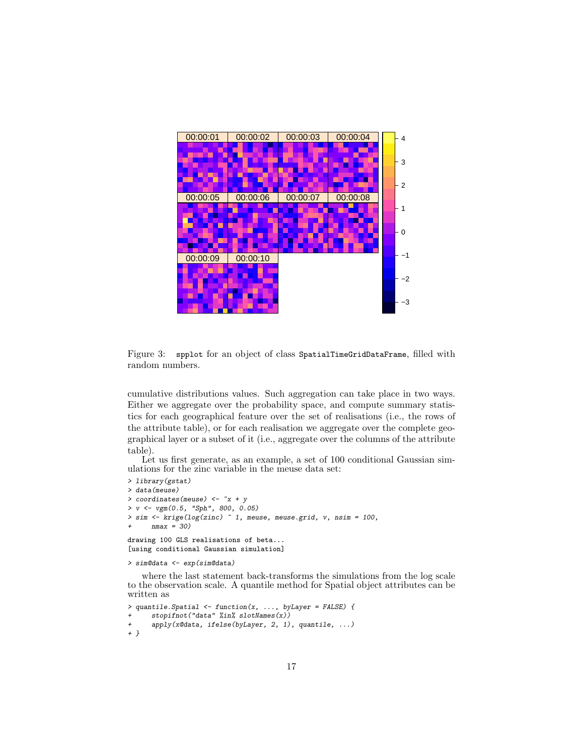

<span id="page-16-0"></span>Figure 3: spplot for an object of class SpatialTimeGridDataFrame, filled with random numbers.

cumulative distributions values. Such aggregation can take place in two ways. Either we aggregate over the probability space, and compute summary statistics for each geographical feature over the set of realisations (i.e., the rows of the attribute table), or for each realisation we aggregate over the complete geographical layer or a subset of it (i.e., aggregate over the columns of the attribute table).

Let us first generate, as an example, a set of 100 conditional Gaussian simulations for the zinc variable in the meuse data set:

```
> library(gstat)
> data(meuse)
> coordinates(meuse) <- ~x + y
> v \leq v y \frac{v}{m}(0.5, \text{ "Sph", } 800, 0.05)> sim <- krige(log(zinc) ~ 1, meuse, meuse.grid, v, nsim = 100,
      nmax = 30drawing 100 GLS realisations of beta...
[using conditional Gaussian simulation]
```

```
> sim@data <- exp(sim@data)
```
where the last statement back-transforms the simulations from the log scale to the observation scale. A quantile method for Spatial object attributes can be written as

```
> quantile.Spatial <- function(x, ..., byLayer = FALSE) {
+ stopifnot("data" %in% slotNames(x))<br>+ apply(x@data, ifelse(byLayer, 2, 1)
       apply(x@data, ifelse(byLayer, 2, 1), quantile, ...)+ }
```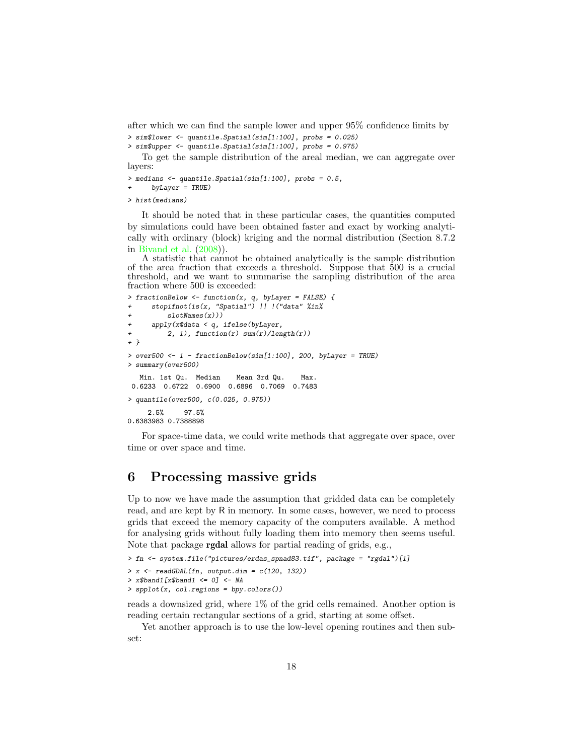after which we can find the sample lower and upper 95% confidence limits by > sim\$lower <- quantile.Spatial(sim[1:100], probs = 0.025)

```
> sim$upper <- quantile.Spatial(sim[1:100], probs = 0.975)
```
To get the sample distribution of the areal median, we can aggregate over layers:

> medians <- quantile.Spatial(sim[1:100], probs = 0.5,

 $by Layer = TRUE$ )

> hist(medians)

It should be noted that in these particular cases, the quantities computed by simulations could have been obtained faster and exact by working analytically with ordinary (block) kriging and the normal distribution (Section 8.7.2 in [Bivand et al.](#page-19-0) [\(2008\)](#page-19-0)).

A statistic that cannot be obtained analytically is the sample distribution of the area fraction that exceeds a threshold. Suppose that 500 is a crucial threshold, and we want to summarise the sampling distribution of the area fraction where 500 is exceeded:

```
> fractionBelow <- function(x, q, byLayer = FALSE) {
     stopifnot(is(x, "Spatial") || !("data" %in%
         slotNames(x))apply(x@data < q, ifelse(byLayer,+ 2, 1), function(r) sum(r)/length(r))
+ }
> over500 <- 1 - fractionBelow(sim[1:100], 200, byLayer = TRUE)
> summary(over500)
  Min. 1st Qu. Median Mean 3rd Qu. Max.
0.6233 0.6722 0.6900 0.6896 0.7069 0.7483
> quantile(over500, c(0.025, 0.975))
    2.5% 97.5%
0.6383983 0.7388898
```
For space-time data, we could write methods that aggregate over space, over time or over space and time.

# <span id="page-17-0"></span>6 Processing massive grids

Up to now we have made the assumption that gridded data can be completely read, and are kept by R in memory. In some cases, however, we need to process grids that exceed the memory capacity of the computers available. A method for analysing grids without fully loading them into memory then seems useful. Note that package rgdal allows for partial reading of grids, e.g.,

```
> fn <- system.file("pictures/erdas_spnad83.tif", package = "rgdal")[1]
> x \leftarrow \text{readGDAL}(\text{fn}, \text{output.dim} = c(120, 132))> x$band1 [x$band1 < = 0] < - NA> spplot(x, col.regions = bpy.colors())
```
reads a downsized grid, where 1% of the grid cells remained. Another option is reading certain rectangular sections of a grid, starting at some offset.

Yet another approach is to use the low-level opening routines and then subset: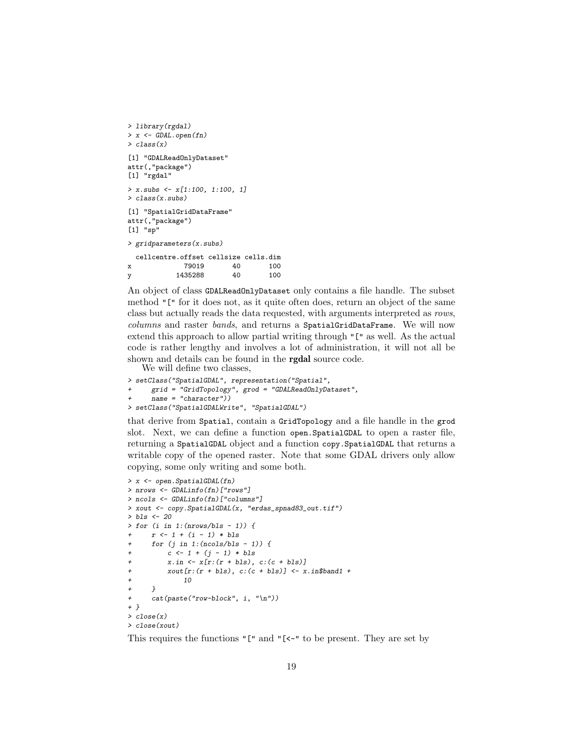```
> library(rgdal)
> x <- GDAL.open(fn)
> class(x)
[1] "GDALReadOnlyDataset"
attr(,"package")
[1] "rgdal"
> x \text{.} subs \leftarrow x[1:100, 1:100, 1]> class(x.subs)
[1] "SpatialGridDataFrame"
attr(,"package")
[1] "sp"
> gridparameters(x.subs)
 cellcentre.offset cellsize cells.dim
x 79019 40 100
y 1435288 40 100
```
An object of class GDALReadOnlyDataset only contains a file handle. The subset method "[" for it does not, as it quite often does, return an object of the same class but actually reads the data requested, with arguments interpreted as rows, columns and raster bands, and returns a SpatialGridDataFrame. We will now extend this approach to allow partial writing through "[" as well. As the actual code is rather lengthy and involves a lot of administration, it will not all be shown and details can be found in the rgdal source code.

We will define two classes,

```
> setClass("SpatialGDAL", representation("Spatial",
+ grid = "GridTopology", grod = "GDALReadOnlyDataset",
     name = "character")> setClass("SpatialGDALWrite", "SpatialGDAL")
```
that derive from Spatial, contain a GridTopology and a file handle in the grod slot. Next, we can define a function open. Spatial GDAL to open a raster file, returning a SpatialGDAL object and a function copy.SpatialGDAL that returns a writable copy of the opened raster. Note that some GDAL drivers only allow copying, some only writing and some both.

```
> x <- open.SpatialGDAL(fn)
> nrows <- GDALinfo(fn)["rows"]
> ncols <- GDALinfo(fn)["columns"]
> xout <- copy.SpatialGDAL(x, "erdas_spnad83_out.tif")
> bls <- 20
> for (i in 1:(nrows/bls - 1)) {
+ r <- 1 + (i - 1) * bls
     for (j in 1:(ncols/bls - 1)) {
+ c \leftarrow 1 + (j - 1) * bls+ x.in \leftarrow x[r:(r + bls), c:(c + bls)]+ xout[r:(r + bls), c:(c + bls)] \leftarrow x.in\$band1 ++ 10
+ }
+ cat(paste("row-block", i, "\n"))
+ }
> close(x)
> close(xout)
```
This requires the functions "[" and "[<-" to be present. They are set by